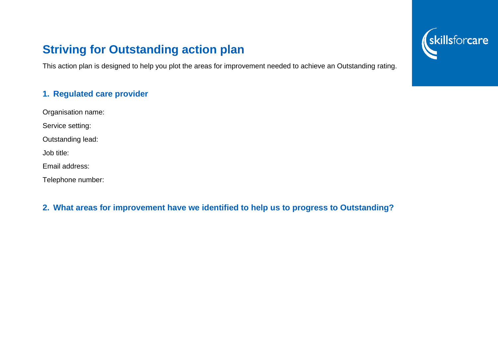# **Striving for Outstanding action plan**

This action plan is designed to help you plot the areas for improvement needed to achieve an Outstanding rating.

### **1. Regulated care provider**

Organisation name:

Service setting:

Outstanding lead:

Job title:

Email address:

Telephone number:

### **2. What areas for improvement have we identified to help us to progress to Outstanding?**

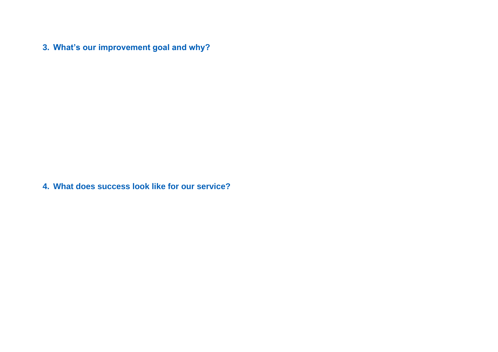**3. What's our improvement goal and why?**

**4. What does success look like for our service?**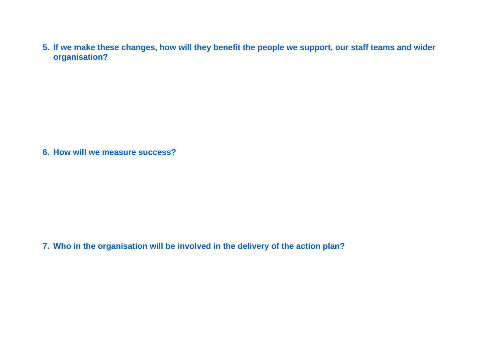**5. If we make these changes, how will they benefit the people we support, our staff teams and wider organisation?**

**6. How will we measure success?**

**7. Who in the organisation will be involved in the delivery of the action plan?**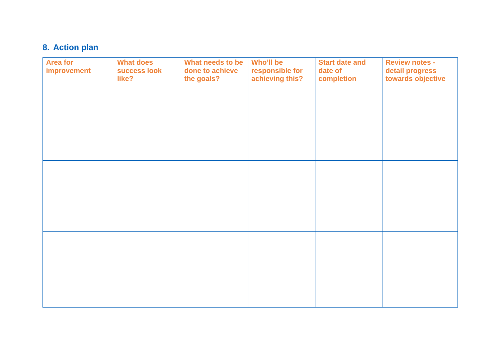## **8. Action plan**

| <b>Area for</b><br>improvement | <b>What does</b><br>success look<br>like? | What needs to be<br>done to achieve<br>the goals? | Who'll be<br>responsible for<br>achieving this? | <b>Start date and</b><br>date of<br>completion | <b>Review notes -</b><br>detail progress<br>towards objective |
|--------------------------------|-------------------------------------------|---------------------------------------------------|-------------------------------------------------|------------------------------------------------|---------------------------------------------------------------|
|                                |                                           |                                                   |                                                 |                                                |                                                               |
|                                |                                           |                                                   |                                                 |                                                |                                                               |
|                                |                                           |                                                   |                                                 |                                                |                                                               |
|                                |                                           |                                                   |                                                 |                                                |                                                               |
|                                |                                           |                                                   |                                                 |                                                |                                                               |
|                                |                                           |                                                   |                                                 |                                                |                                                               |
|                                |                                           |                                                   |                                                 |                                                |                                                               |